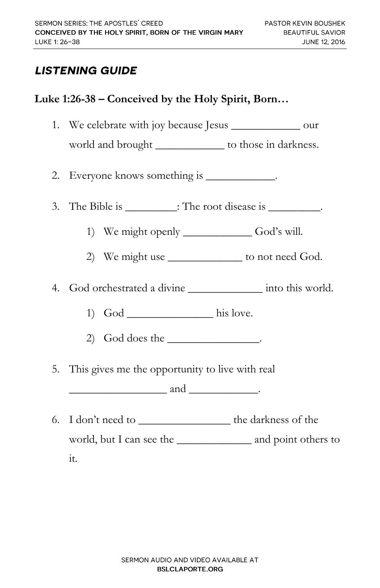## **LISTENING GUIDE**

## **Luke 1:26-38 – Conceived by the Holy Spirit, Born…**

1. We celebrate with joy because Jesus \_\_\_\_\_\_\_\_\_\_\_\_ our world and brought \_\_\_\_\_\_\_\_\_\_\_\_ to those in darkness.

2. Everyone knows something is \_\_\_\_\_\_\_\_\_\_\_\_.

- 3. The Bible is \_\_\_\_\_\_\_\_\_: The root disease is \_\_\_\_\_\_\_\_\_.
	- 1) We might openly God's will.
	- 2) We might use \_\_\_\_\_\_\_\_\_\_\_\_\_\_ to not need God.

4. God orchestrated a divine \_\_\_\_\_\_\_\_\_\_\_\_\_ into this world.

- 1) God \_\_\_\_\_\_\_\_\_\_\_\_ his love.
- 2) God does the \_\_\_\_\_\_\_\_\_\_\_\_\_\_\_\_.
- 5. This gives me the opportunity to live with real

 $and$   $\qquad \qquad$ 

6. I don't need to \_\_\_\_\_\_\_\_\_\_\_\_\_\_\_\_ the darkness of the world, but I can see the \_\_\_\_\_\_\_\_\_\_\_\_\_ and point others to it.